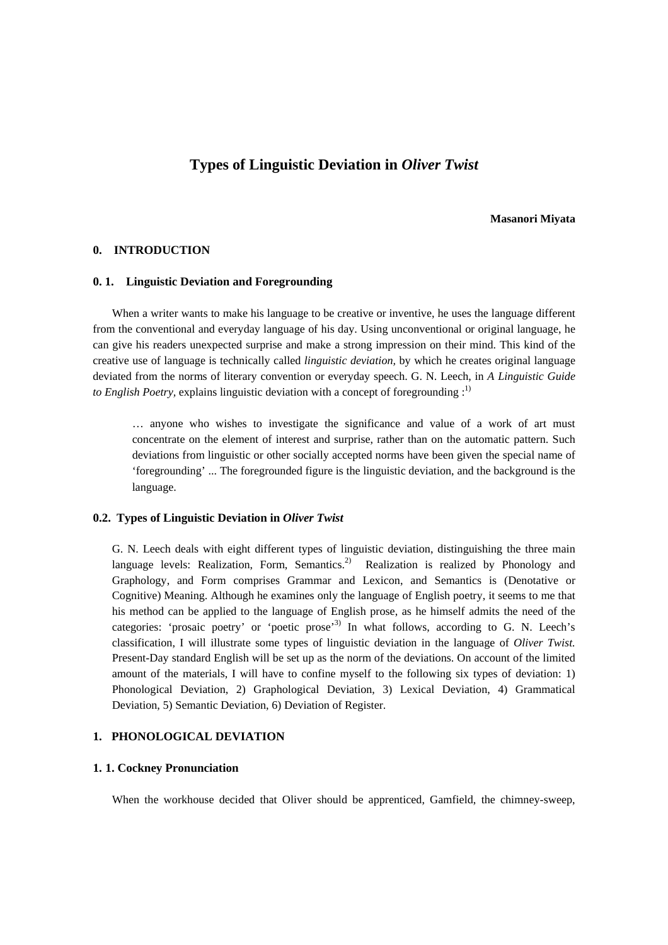# **Types of Linguistic Deviation in** *Oliver Twist*

#### **Masanori Miyata**

#### **0. INTRODUCTION**

### **0. 1. Linguistic Deviation and Foregrounding**

When a writer wants to make his language to be creative or inventive, he uses the language different from the conventional and everyday language of his day. Using unconventional or original language, he can give his readers unexpected surprise and make a strong impression on their mind. This kind of the creative use of language is technically called *linguistic deviation,* by which he creates original language deviated from the norms of literary convention or everyday speech. G. N. Leech, in *A Linguistic Guide to English Poetry,* explains linguistic deviation with a concept of foregrounding :<sup>1)</sup>

… anyone who wishes to investigate the significance and value of a work of art must concentrate on the element of interest and surprise, rather than on the automatic pattern. Such deviations from linguistic or other socially accepted norms have been given the special name of 'foregrounding' ... The foregrounded figure is the linguistic deviation, and the background is the language.

### **0.2. Types of Linguistic Deviation in** *Oliver Twist*

G. N. Leech deals with eight different types of linguistic deviation, distinguishing the three main language levels: Realization, Form, Semantics.<sup>2)</sup> Realization is realized by Phonology and Graphology, and Form comprises Grammar and Lexicon, and Semantics is (Denotative or Cognitive) Meaning. Although he examines only the language of English poetry, it seems to me that his method can be applied to the language of English prose, as he himself admits the need of the categories: 'prosaic poetry' or 'poetic prose'<sup>3)</sup> In what follows, according to G. N. Leech's classification, I will illustrate some types of linguistic deviation in the language of *Oliver Twist.*  Present-Day standard English will be set up as the norm of the deviations. On account of the limited amount of the materials, I will have to confine myself to the following six types of deviation: 1) Phonological Deviation, 2) Graphological Deviation, 3) Lexical Deviation, 4) Grammatical Deviation, 5) Semantic Deviation, 6) Deviation of Register.

## **1. PHONOLOGICAL DEVIATION**

#### **1. 1. Cockney Pronunciation**

When the workhouse decided that Oliver should be apprenticed, Gamfield, the chimney-sweep,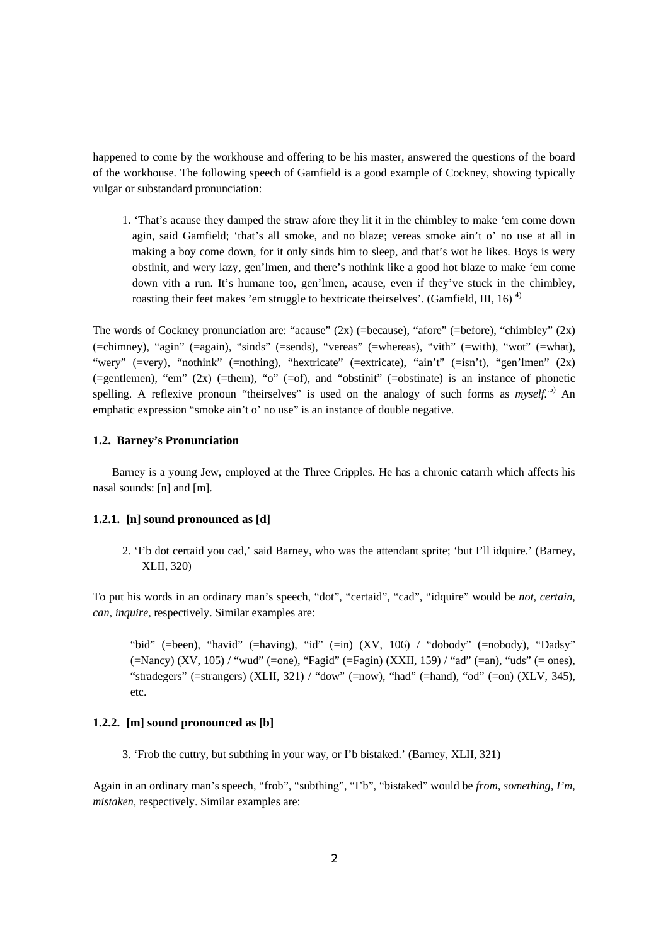happened to come by the workhouse and offering to be his master, answered the questions of the board of the workhouse. The following speech of Gamfield is a good example of Cockney, showing typically vulgar or substandard pronunciation:

1. 'That's acause they damped the straw afore they lit it in the chimbley to make 'em come down agin, said Gamfield; 'that's all smoke, and no blaze; vereas smoke ain't o' no use at all in making a boy come down, for it only sinds him to sleep, and that's wot he likes. Boys is wery obstinit, and wery lazy, gen'lmen, and there's nothink like a good hot blaze to make 'em come down vith a run. It's humane too, gen'lmen, acause, even if they've stuck in the chimbley, roasting their feet makes 'em struggle to hextricate theirselves'. (Gamfield, III, 16)<sup> $4)$ </sup>

The words of Cockney pronunciation are: "acause"  $(2x)$  (=because), "afore" (=before), "chimbley"  $(2x)$ (=chimney), "agin" (=again), "sinds" (=sends), "vereas" (=whereas), "vith" (=with), "wot" (=what), "wery" (=very), "nothink" (=nothing), "hextricate" (=extricate), "ain't" (=isn't), "gen'lmen" (2x) (=gentlemen), "em" (2x) (=them), "o" (=of), and "obstinit" (=obstinate) is an instance of phonetic spelling. A reflexive pronoun "theirselves" is used on the analogy of such forms as  $myself$ <sup>5</sup>. An emphatic expression "smoke ain't o' no use" is an instance of double negative.

## **1.2. Barney's Pronunciation**

Barney is a young Jew, employed at the Three Cripples. He has a chronic catarrh which affects his nasal sounds: [n] and [m].

#### **1.2.1. [n] sound pronounced as [d]**

2. 'I'b dot certaid you cad,' said Barney, who was the attendant sprite; 'but I'll idquire.' (Barney, XLII, 320)

To put his words in an ordinary man's speech, "dot", "certaid", "cad", "idquire" would be *not, certain, can, inquire,* respectively. Similar examples are:

"bid" (=been), "havid" (=having), "id" (=in) (XV, 106) / "dobody" (=nobody), "Dadsy"  $(-\text{Nancy})$  (XV, 105) / "wud" (=one), "Fagid" (=Fagin) (XXII, 159) / "ad" (=an), "uds" (= ones), "stradegers" (=strangers) (XLII, 321) / "dow" (=now), "had" (=hand), "od" (=on) (XLV, 345), etc.

# **1.2.2. [m] sound pronounced as [b]**

3. 'Frob the cuttry, but subthing in your way, or I'b bistaked.' (Barney, XLII, 321)

Again in an ordinary man's speech, "frob", "subthing", "I'b", "bistaked" would be *from, something, I'm, mistaken,* respectively. Similar examples are: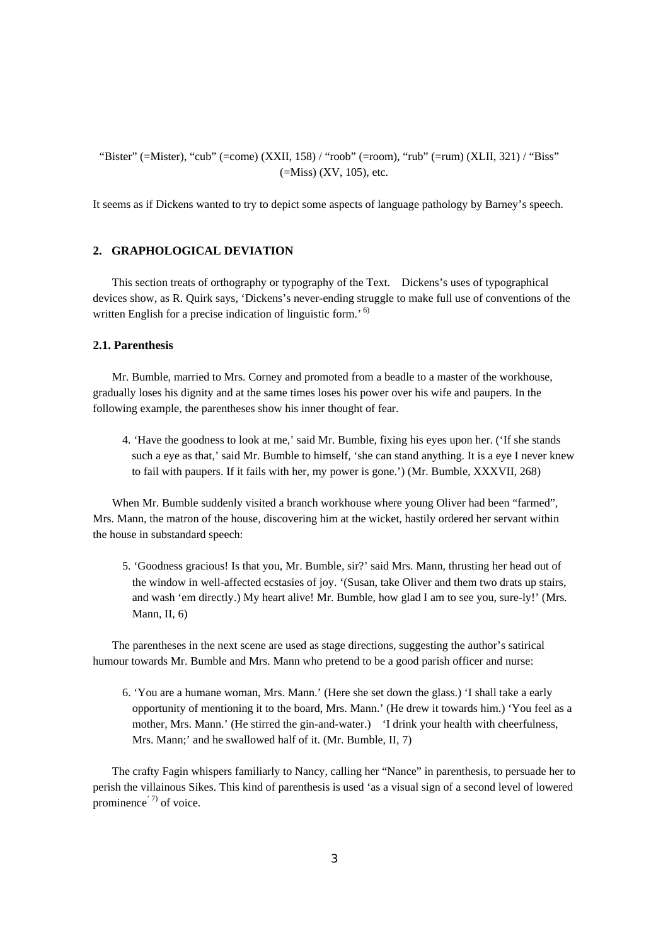"Bister" (=Mister), "cub" (=come) (XXII, 158) / "roob" (=room), "rub" (=rum) (XLII, 321) / "Biss"  $(=Miss)$  (XV, 105), etc.

It seems as if Dickens wanted to try to depict some aspects of language pathology by Barney's speech.

# **2. GRAPHOLOGICAL DEVIATION**

This section treats of orthography or typography of the Text. Dickens's uses of typographical devices show, as R. Quirk says, 'Dickens's never-ending struggle to make full use of conventions of the written English for a precise indication of linguistic form.<sup>6)</sup>

#### **2.1. Parenthesis**

Mr. Bumble, married to Mrs. Corney and promoted from a beadle to a master of the workhouse, gradually loses his dignity and at the same times loses his power over his wife and paupers. In the following example, the parentheses show his inner thought of fear.

4. 'Have the goodness to look at me,' said Mr. Bumble, fixing his eyes upon her. ('If she stands such a eye as that,' said Mr. Bumble to himself, 'she can stand anything. It is a eye I never knew to fail with paupers. If it fails with her, my power is gone.') (Mr. Bumble, XXXVII, 268)

When Mr. Bumble suddenly visited a branch workhouse where young Oliver had been "farmed", Mrs. Mann, the matron of the house, discovering him at the wicket, hastily ordered her servant within the house in substandard speech:

5. 'Goodness gracious! Is that you, Mr. Bumble, sir?' said Mrs. Mann, thrusting her head out of the window in well-affected ecstasies of joy. '(Susan, take Oliver and them two drats up stairs, and wash 'em directly.) My heart alive! Mr. Bumble, how glad I am to see you, sure-ly!' (Mrs. Mann, II, 6)

The parentheses in the next scene are used as stage directions, suggesting the author's satirical humour towards Mr. Bumble and Mrs. Mann who pretend to be a good parish officer and nurse:

6. 'You are a humane woman, Mrs. Mann.' (Here she set down the glass.) 'I shall take a early opportunity of mentioning it to the board, Mrs. Mann.' (He drew it towards him.) 'You feel as a mother, Mrs. Mann.' (He stirred the gin-and-water.) 'I drink your health with cheerfulness, Mrs. Mann;' and he swallowed half of it. (Mr. Bumble, II, 7)

The crafty Fagin whispers familiarly to Nancy, calling her "Nance" in parenthesis, to persuade her to perish the villainous Sikes. This kind of parenthesis is used 'as a visual sign of a second level of lowered prominence<sup>'  $7$ </sup> of voice.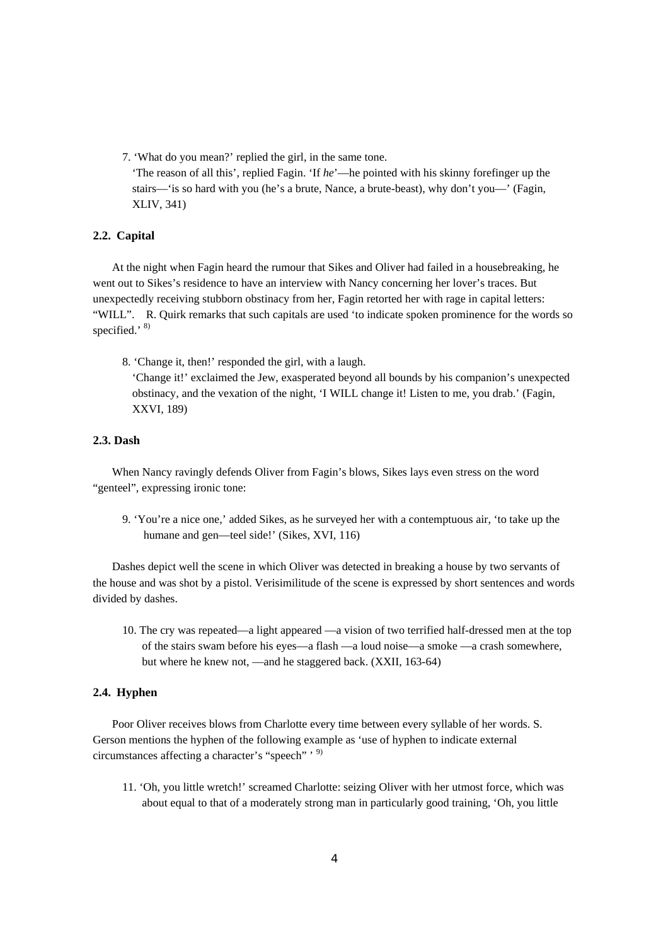7. 'What do you mean?' replied the girl, in the same tone. 'The reason of all this', replied Fagin. 'If *he*'—he pointed with his skinny forefinger up the stairs—'is so hard with you (he's a brute, Nance, a brute-beast), why don't you—' (Fagin, XLIV, 341)

## **2.2. Capital**

At the night when Fagin heard the rumour that Sikes and Oliver had failed in a housebreaking, he went out to Sikes's residence to have an interview with Nancy concerning her lover's traces. But unexpectedly receiving stubborn obstinacy from her, Fagin retorted her with rage in capital letters: "WILL". R. Quirk remarks that such capitals are used 'to indicate spoken prominence for the words so specified.' 8)

8. 'Change it, then!' responded the girl, with a laugh.

'Change it!' exclaimed the Jew, exasperated beyond all bounds by his companion's unexpected obstinacy, and the vexation of the night, 'I WILL change it! Listen to me, you drab.' (Fagin, XXVI, 189)

# **2.3. Dash**

When Nancy ravingly defends Oliver from Fagin's blows, Sikes lays even stress on the word "genteel", expressing ironic tone:

9. 'You're a nice one,' added Sikes, as he surveyed her with a contemptuous air, 'to take up the humane and gen—teel side!' (Sikes, XVI, 116)

Dashes depict well the scene in which Oliver was detected in breaking a house by two servants of the house and was shot by a pistol. Verisimilitude of the scene is expressed by short sentences and words divided by dashes.

10. The cry was repeated—a light appeared —a vision of two terrified half-dressed men at the top of the stairs swam before his eyes—a flash —a loud noise—a smoke —a crash somewhere, but where he knew not, —and he staggered back. (XXII, 163-64)

## **2.4. Hyphen**

Poor Oliver receives blows from Charlotte every time between every syllable of her words. S. Gerson mentions the hyphen of the following example as 'use of hyphen to indicate external circumstances affecting a character's "speech" ' 9)

11. 'Oh, you little wretch!' screamed Charlotte: seizing Oliver with her utmost force, which was about equal to that of a moderately strong man in particularly good training, 'Oh, you little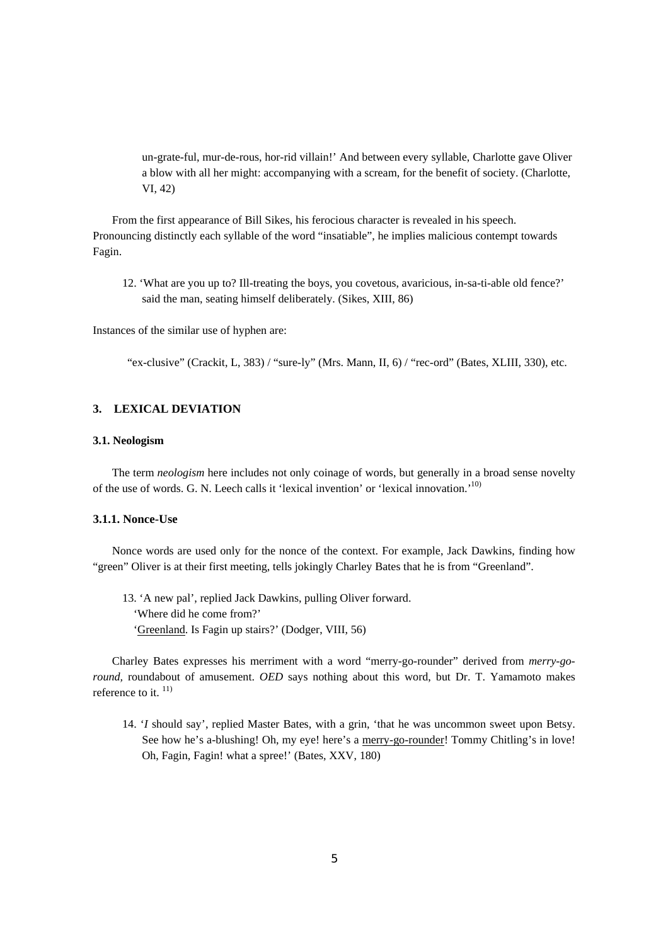un-grate-ful, mur-de-rous, hor-rid villain!' And between every syllable, Charlotte gave Oliver a blow with all her might: accompanying with a scream, for the benefit of society. (Charlotte, VI, 42)

From the first appearance of Bill Sikes, his ferocious character is revealed in his speech. Pronouncing distinctly each syllable of the word "insatiable", he implies malicious contempt towards Fagin.

12. 'What are you up to? Ill-treating the boys, you covetous, avaricious, in-sa-ti-able old fence?' said the man, seating himself deliberately. (Sikes, XIII, 86)

Instances of the similar use of hyphen are:

"ex-clusive" (Crackit, L, 383) / "sure-ly" (Mrs. Mann, II, 6) / "rec-ord" (Bates, XLIII, 330), etc.

#### **3. LEXICAL DEVIATION**

## **3.1. Neologism**

The term *neologism* here includes not only coinage of words, but generally in a broad sense novelty of the use of words. G. N. Leech calls it 'lexical invention' or 'lexical innovation.'10)

#### **3.1.1. Nonce-Use**

Nonce words are used only for the nonce of the context. For example, Jack Dawkins, finding how "green" Oliver is at their first meeting, tells jokingly Charley Bates that he is from "Greenland".

13. 'A new pal', replied Jack Dawkins, pulling Oliver forward. 'Where did he come from?' 'Greenland. Is Fagin up stairs?' (Dodger, VIII, 56)

Charley Bates expresses his merriment with a word "merry-go-rounder" derived from *merry-goround,* roundabout of amusement. *OED* says nothing about this word, but Dr. T. Yamamoto makes reference to it.  $^{11}$ 

14. '*I* should say', replied Master Bates, with a grin, 'that he was uncommon sweet upon Betsy. See how he's a-blushing! Oh, my eye! here's a merry-go-rounder! Tommy Chitling's in love! Oh, Fagin, Fagin! what a spree!' (Bates, XXV, 180)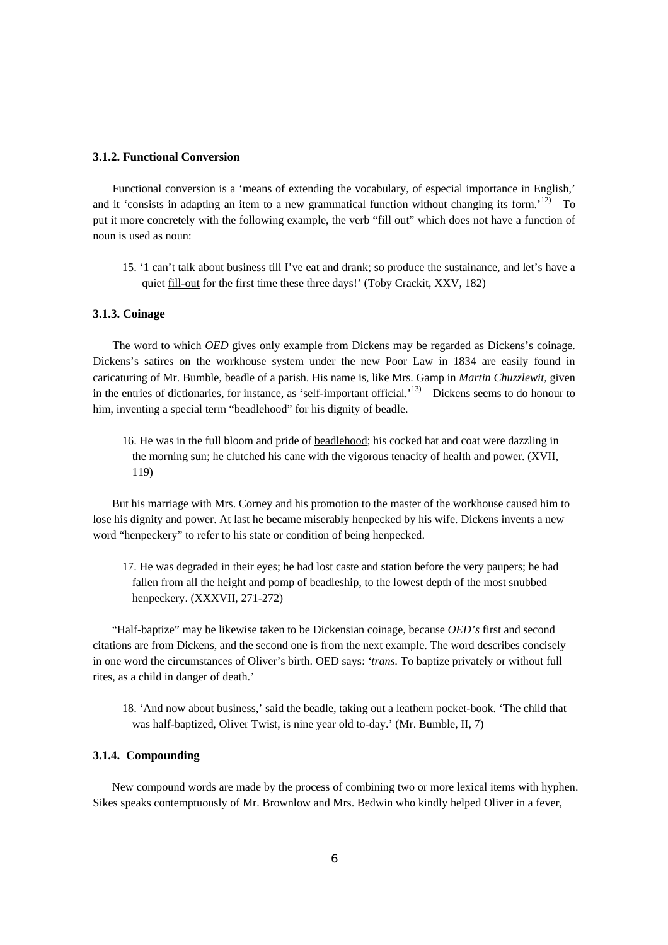# **3.1.2. Functional Conversion**

Functional conversion is a 'means of extending the vocabulary, of especial importance in English,' and it 'consists in adapting an item to a new grammatical function without changing its form.<sup>'12)</sup> To put it more concretely with the following example, the verb "fill out" which does not have a function of noun is used as noun:

15. '1 can't talk about business till I've eat and drank; so produce the sustainance, and let's have a quiet fill-out for the first time these three days!' (Toby Crackit, XXV, 182)

## **3.1.3. Coinage**

The word to which *OED* gives only example from Dickens may be regarded as Dickens's coinage. Dickens's satires on the workhouse system under the new Poor Law in 1834 are easily found in caricaturing of Mr. Bumble, beadle of a parish. His name is, like Mrs. Gamp in *Martin Chuzzlewit,* given in the entries of dictionaries, for instance, as 'self-important official.'13) Dickens seems to do honour to him, inventing a special term "beadlehood" for his dignity of beadle.

16. He was in the full bloom and pride of beadlehood; his cocked hat and coat were dazzling in the morning sun; he clutched his cane with the vigorous tenacity of health and power. (XVII, 119)

But his marriage with Mrs. Corney and his promotion to the master of the workhouse caused him to lose his dignity and power. At last he became miserably henpecked by his wife. Dickens invents a new word "henpeckery" to refer to his state or condition of being henpecked.

17. He was degraded in their eyes; he had lost caste and station before the very paupers; he had fallen from all the height and pomp of beadleship, to the lowest depth of the most snubbed henpeckery. (XXXVII, 271-272)

"Half-baptize" may be likewise taken to be Dickensian coinage, because *OED's* first and second citations are from Dickens, and the second one is from the next example. The word describes concisely in one word the circumstances of Oliver's birth. OED says: *'trans.* To baptize privately or without full rites, as a child in danger of death.'

18. 'And now about business,' said the beadle, taking out a leathern pocket-book. 'The child that was half-baptized, Oliver Twist, is nine year old to-day.' (Mr. Bumble, II, 7)

## **3.1.4. Compounding**

New compound words are made by the process of combining two or more lexical items with hyphen. Sikes speaks contemptuously of Mr. Brownlow and Mrs. Bedwin who kindly helped Oliver in a fever,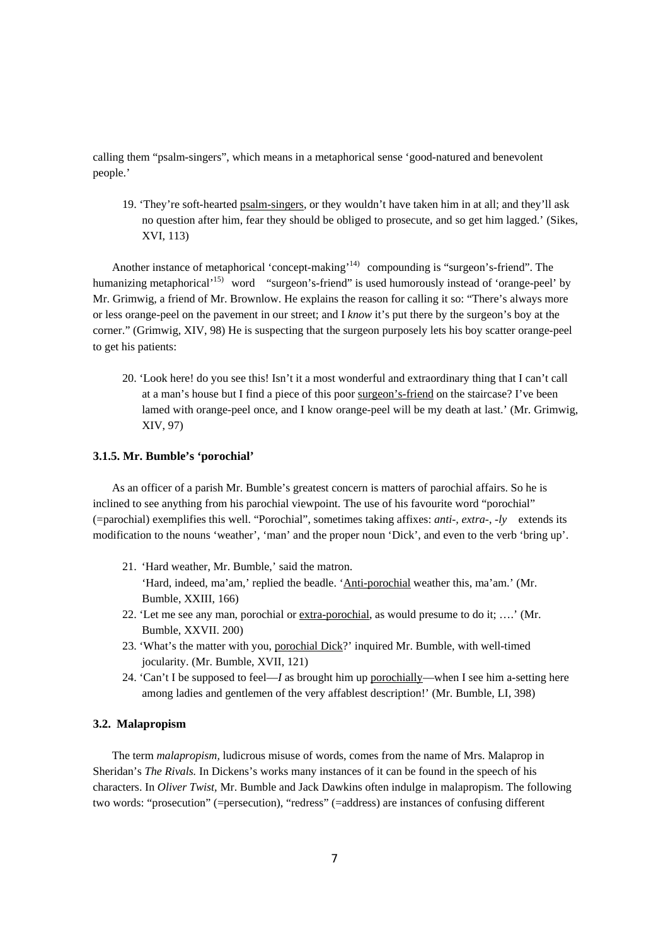calling them "psalm-singers", which means in a metaphorical sense 'good-natured and benevolent people.'

19. 'They're soft-hearted psalm-singers, or they wouldn't have taken him in at all; and they'll ask no question after him, fear they should be obliged to prosecute, and so get him lagged.' (Sikes, XVI, 113)

Another instance of metaphorical 'concept-making'<sup>14)</sup> compounding is "surgeon's-friend". The humanizing metaphorical<sup>15)</sup> word "surgeon's-friend" is used humorously instead of 'orange-peel' by Mr. Grimwig, a friend of Mr. Brownlow. He explains the reason for calling it so: "There's always more or less orange-peel on the pavement in our street; and I *know* it's put there by the surgeon's boy at the corner." (Grimwig, XIV, 98) He is suspecting that the surgeon purposely lets his boy scatter orange-peel to get his patients:

20. 'Look here! do you see this! Isn't it a most wonderful and extraordinary thing that I can't call at a man's house but I find a piece of this poor surgeon's-friend on the staircase? I've been lamed with orange-peel once, and I know orange-peel will be my death at last.' (Mr. Grimwig, XIV, 97)

#### **3.1.5. Mr. Bumble's 'porochial'**

As an officer of a parish Mr. Bumble's greatest concern is matters of parochial affairs. So he is inclined to see anything from his parochial viewpoint. The use of his favourite word "porochial" (=parochial) exemplifies this well. "Porochial", sometimes taking affixes: *anti-, extra*-, -*ly* extends its modification to the nouns 'weather', 'man' and the proper noun 'Dick', and even to the verb 'bring up'.

- 21. 'Hard weather, Mr. Bumble,' said the matron. 'Hard, indeed, ma'am,' replied the beadle. 'Anti-porochial weather this, ma'am.' (Mr. Bumble, XXIII, 166)
- 22. 'Let me see any man, porochial or extra-porochial, as would presume to do it; ….' (Mr. Bumble, XXVII. 200)
- 23. 'What's the matter with you, porochial Dick?' inquired Mr. Bumble, with well-timed jocularity. (Mr. Bumble, XVII, 121)
- 24. 'Can't I be supposed to feel—*I* as brought him up porochially—when I see him a-setting here among ladies and gentlemen of the very affablest description!' (Mr. Bumble, LI, 398)

## **3.2. Malapropism**

The term *malapropism,* ludicrous misuse of words, comes from the name of Mrs. Malaprop in Sheridan's *The Rivals.* In Dickens's works many instances of it can be found in the speech of his characters. In *Oliver Twist,* Mr. Bumble and Jack Dawkins often indulge in malapropism. The following two words: "prosecution" (=persecution), "redress" (=address) are instances of confusing different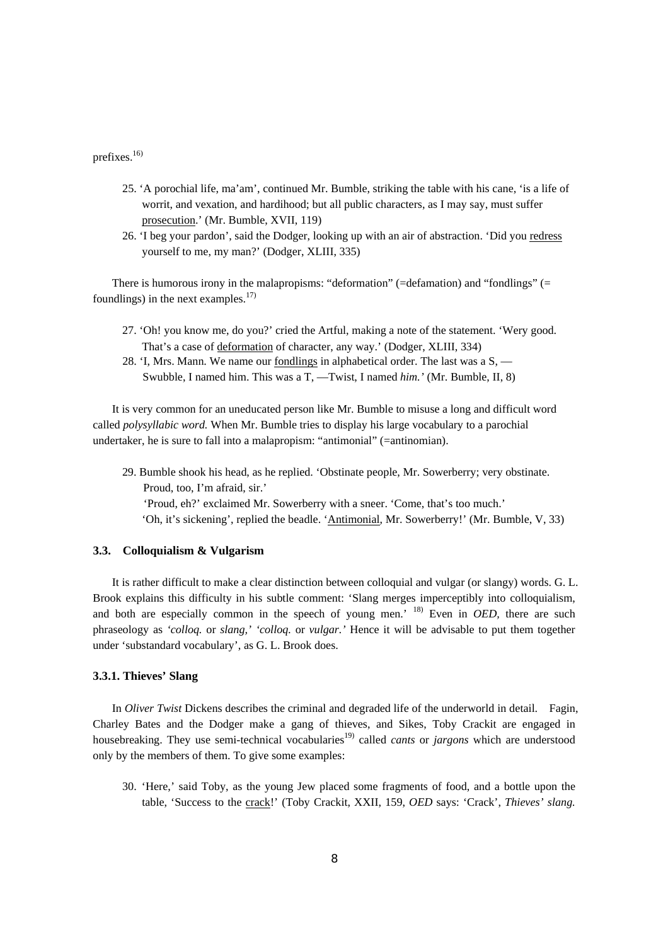# prefixes.16)

- 25. 'A porochial life, ma'am', continued Mr. Bumble, striking the table with his cane, 'is a life of worrit, and vexation, and hardihood; but all public characters, as I may say, must suffer prosecution.' (Mr. Bumble, XVII, 119)
- 26. 'I beg your pardon', said the Dodger, looking up with an air of abstraction. 'Did you redress yourself to me, my man?' (Dodger, XLIII, 335)

There is humorous irony in the malapropisms: "deformation" ( $=$ defamation) and "fondlings" ( $=$ foundlings) in the next examples. $17$ 

- 27. 'Oh! you know me, do you?' cried the Artful, making a note of the statement. 'Wery good. That's a case of deformation of character, any way.' (Dodger, XLIII, 334)
- 28. 'I, Mrs. Mann. We name our fondlings in alphabetical order. The last was a S, Swubble, I named him. This was a T, —Twist, I named *him.'* (Mr. Bumble, II, 8)

It is very common for an uneducated person like Mr. Bumble to misuse a long and difficult word called *polysyllabic word.* When Mr. Bumble tries to display his large vocabulary to a parochial undertaker, he is sure to fall into a malapropism: "antimonial" (=antinomian).

29. Bumble shook his head, as he replied. 'Obstinate people, Mr. Sowerberry; very obstinate. Proud, too, I'm afraid, sir.' 'Proud, eh?' exclaimed Mr. Sowerberry with a sneer. 'Come, that's too much.' 'Oh, it's sickening', replied the beadle. 'Antimonial, Mr. Sowerberry!' (Mr. Bumble, V, 33)

#### **3.3. Colloquialism & Vulgarism**

It is rather difficult to make a clear distinction between colloquial and vulgar (or slangy) words. G. L. Brook explains this difficulty in his subtle comment: 'Slang merges imperceptibly into colloquialism, and both are especially common in the speech of young men.' 18) Even in *OED,* there are such phraseology as *'colloq.* or *slang,' 'colloq.* or *vulgar.'* Hence it will be advisable to put them together under 'substandard vocabulary', as G. L. Brook does.

#### **3.3.1. Thieves' Slang**

In *Oliver Twist* Dickens describes the criminal and degraded life of the underworld in detail. Fagin, Charley Bates and the Dodger make a gang of thieves, and Sikes, Toby Crackit are engaged in housebreaking. They use semi-technical vocabularies<sup>19)</sup> called *cants* or *jargons* which are understood only by the members of them. To give some examples:

30. 'Here,' said Toby, as the young Jew placed some fragments of food, and a bottle upon the table, 'Success to the crack!' (Toby Crackit, XXII, 159, *OED* says: 'Crack', *Thieves' slang.*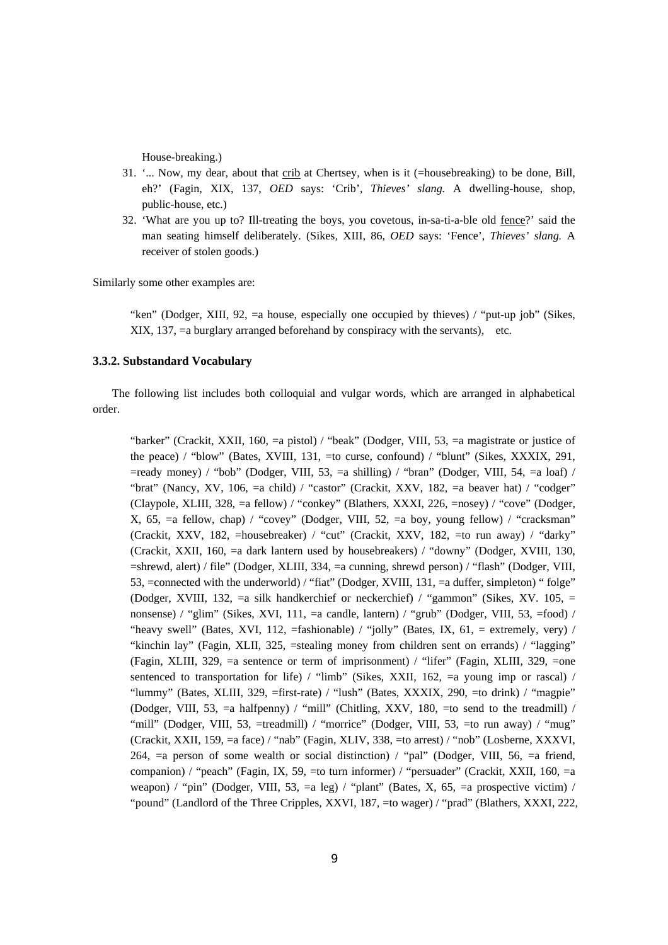House-breaking.)

- 31. '... Now, my dear, about that crib at Chertsey, when is it (=housebreaking) to be done, Bill, eh?' (Fagin, XIX, 137, *OED* says: 'Crib', *Thieves' slang.* A dwelling-house, shop, public-house, etc.)
- 32. 'What are you up to? Ill-treating the boys, you covetous, in-sa-ti-a-ble old fence?' said the man seating himself deliberately. (Sikes, XIII, 86, *OED* says: 'Fence', *Thieves' slang.* A receiver of stolen goods.)

Similarly some other examples are:

"ken" (Dodger, XIII, 92, =a house, especially one occupied by thieves) / "put-up job" (Sikes, XIX, 137, =a burglary arranged beforehand by conspiracy with the servants), etc.

# **3.3.2. Substandard Vocabulary**

The following list includes both colloquial and vulgar words, which are arranged in alphabetical order.

"barker" (Crackit, XXII, 160, =a pistol) / "beak" (Dodger, VIII, 53, =a magistrate or justice of the peace) / "blow" (Bates, XVIII, 131, =to curse, confound) / "blunt" (Sikes, XXXIX, 291,  $=$ ready money) / "bob" (Dodger, VIII, 53,  $=$ a shilling) / "bran" (Dodger, VIII, 54,  $=$ a loaf) / "brat" (Nancy, XV, 106, =a child) / "castor" (Crackit, XXV, 182, =a beaver hat) / "codger" (Claypole, XLIII, 328, =a fellow) / "conkey" (Blathers, XXXI, 226, =nosey) / "cove" (Dodger, X, 65, =a fellow, chap) / "covey" (Dodger, VIII, 52, =a boy, young fellow) / "cracksman" (Crackit, XXV, 182, =housebreaker) / "cut" (Crackit, XXV, 182, =to run away) / "darky" (Crackit, XXII, 160, =a dark lantern used by housebreakers) / "downy" (Dodger, XVIII, 130, =shrewd, alert) / file" (Dodger, XLIII, 334, =a cunning, shrewd person) / "flash" (Dodger, VIII, 53, =connected with the underworld) / "fiat" (Dodger, XVIII, 131, =a duffer, simpleton) " folge" (Dodger, XVIII, 132, =a silk handkerchief or neckerchief) / "gammon" (Sikes, XV. 105, = nonsense) / "glim" (Sikes, XVI, 111, =a candle, lantern) / "grub" (Dodger, VIII, 53, =food) / "heavy swell" (Bates, XVI, 112,  $=$ fashionable) / "jolly" (Bates, IX, 61,  $=$  extremely, very) / "kinchin lay" (Fagin, XLII, 325, =stealing money from children sent on errands) / "lagging" (Fagin, XLIII, 329, =a sentence or term of imprisonment) / "lifer" (Fagin, XLIII, 329, =one sentenced to transportation for life)  $/$  "limb" (Sikes, XXII, 162,  $=$ a young imp or rascal)  $/$ "lummy" (Bates, XLIII, 329, =first-rate) / "lush" (Bates, XXXIX, 290, =to drink) / "magpie" (Dodger, VIII, 53, =a halfpenny) / "mill" (Chitling, XXV, 180, =to send to the treadmill) / "mill" (Dodger, VIII, 53,  $=$ treadmill) / "morrice" (Dodger, VIII, 53,  $=$ to run away) / "mug" (Crackit, XXII, 159, =a face) / "nab" (Fagin, XLIV, 338, =to arrest) / "nob" (Losberne, XXXVI, 264, =a person of some wealth or social distinction) / "pal" (Dodger, VIII, 56, =a friend, companion) / "peach" (Fagin, IX, 59, =to turn informer) / "persuader" (Crackit, XXII, 160, =a weapon) / "pin" (Dodger, VIII, 53, =a leg) / "plant" (Bates, X, 65, =a prospective victim) / "pound" (Landlord of the Three Cripples, XXVI, 187, =to wager) / "prad" (Blathers, XXXI, 222,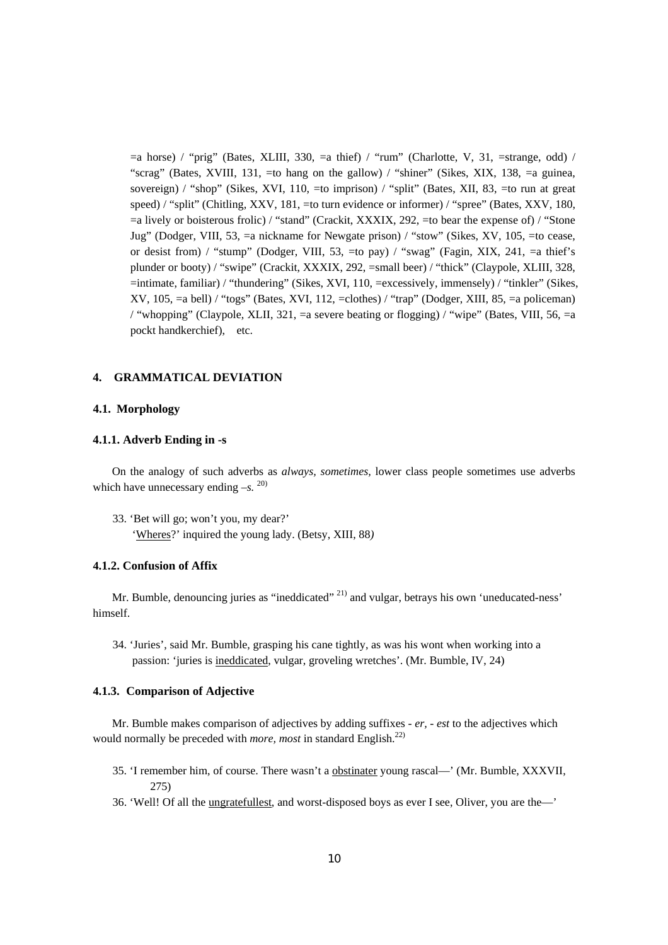$=$ a horse) / "prig" (Bates, XLIII, 330,  $=$ a thief) / "rum" (Charlotte, V, 31,  $=$ strange, odd) / "scrag" (Bates, XVIII, 131, =to hang on the gallow) / "shiner" (Sikes, XIX, 138, =a guinea, sovereign) / "shop" (Sikes, XVI, 110, =to imprison) / "split" (Bates, XII, 83, =to run at great speed) / "split" (Chitling, XXV, 181, =to turn evidence or informer) / "spree" (Bates, XXV, 180,  $=$ a lively or boisterous frolic) / "stand" (Crackit, XXXIX, 292,  $=$  to bear the expense of) / "Stone Jug" (Dodger, VIII, 53, =a nickname for Newgate prison) / "stow" (Sikes, XV, 105, =to cease, or desist from) / "stump" (Dodger, VIII, 53,  $=$ to pay) / "swag" (Fagin, XIX, 241,  $=$ a thief's plunder or booty) / "swipe" (Crackit, XXXIX, 292, =small beer) / "thick" (Claypole, XLIII, 328, =intimate, familiar) / "thundering" (Sikes, XVI, 110, =excessively, immensely) / "tinkler" (Sikes, XV, 105, =a bell) / "togs" (Bates, XVI, 112, =clothes) / "trap" (Dodger, XIII, 85, =a policeman) / "whopping" (Claypole, XLII, 321, =a severe beating or flogging) / "wipe" (Bates, VIII, 56, =a pockt handkerchief), etc.

## **4. GRAMMATICAL DEVIATION**

#### **4.1. Morphology**

#### **4.1.1. Adverb Ending in -s**

On the analogy of such adverbs as *always, sometimes,* lower class people sometimes use adverbs which have unnecessary ending  $-S$ . <sup>20)</sup>

33. 'Bet will go; won't you, my dear?' 'Wheres?' inquired the young lady. (Betsy, XIII, 88*)* 

## **4.1.2. Confusion of Affix**

Mr. Bumble, denouncing juries as "ineddicated" <sup>21)</sup> and vulgar, betrays his own 'uneducated-ness' himself.

34. 'Juries', said Mr. Bumble, grasping his cane tightly, as was his wont when working into a passion: 'juries is ineddicated, vulgar, groveling wretches'. (Mr. Bumble, IV, 24)

## **4.1.3. Comparison of Adjective**

Mr. Bumble makes comparison of adjectives by adding suffixes - *er,* - *est* to the adjectives which would normally be preceded with *more, most* in standard English.<sup>22)</sup>

- 35. 'I remember him, of course. There wasn't a obstinater young rascal—' (Mr. Bumble, XXXVII, 275)
- 36. 'Well! Of all the ungratefullest, and worst-disposed boys as ever I see, Oliver, you are the—'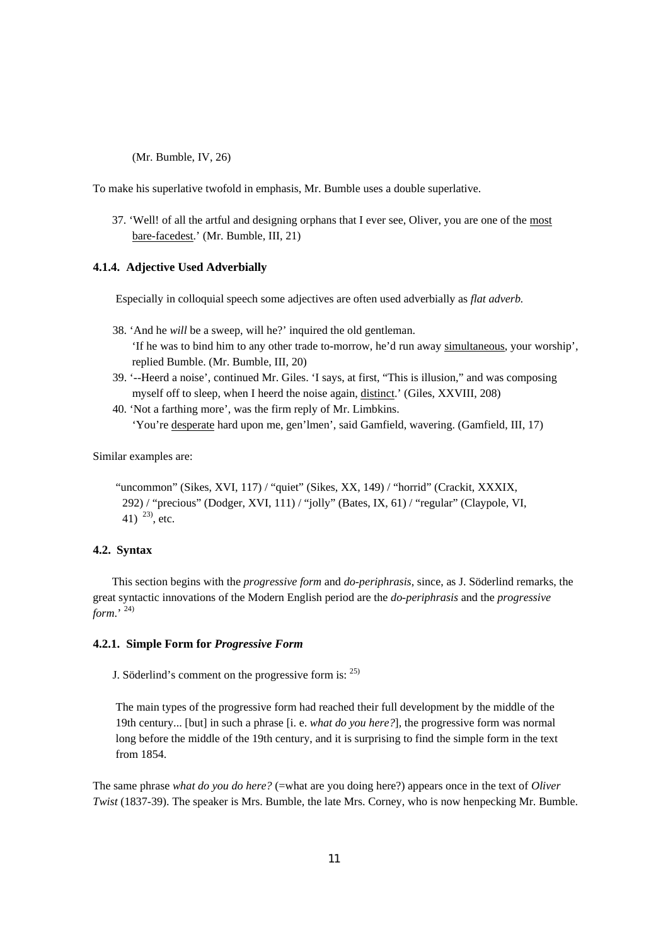(Mr. Bumble, IV, 26)

To make his superlative twofold in emphasis, Mr. Bumble uses a double superlative.

37. 'Well! of all the artful and designing orphans that I ever see, Oliver, you are one of the most bare-facedest.' (Mr. Bumble, III, 21)

### **4.1.4. Adjective Used Adverbially**

Especially in colloquial speech some adjectives are often used adverbially as *flat adverb.* 

- 38. 'And he *will* be a sweep, will he?' inquired the old gentleman. 'If he was to bind him to any other trade to-morrow, he'd run away simultaneous, your worship', replied Bumble. (Mr. Bumble, III, 20)
- 39. '--Heerd a noise', continued Mr. Giles. 'I says, at first, "This is illusion," and was composing myself off to sleep, when I heerd the noise again, distinct.' (Giles, XXVIII, 208)
- 40. 'Not a farthing more', was the firm reply of Mr. Limbkins. 'You're desperate hard upon me, gen'lmen', said Gamfield, wavering. (Gamfield, III, 17)

Similar examples are:

"uncommon" (Sikes, XVI, 117) / "quiet" (Sikes, XX, 149) / "horrid" (Crackit, XXXIX, 292) / "precious" (Dodger, XVI, 111) / "jolly" (Bates, IX, 61) / "regular" (Claypole, VI, 41)  $^{23}$ , etc.

# **4.2. Syntax**

This section begins with the *progressive form* and *do-periphrasis*, since, as J. Söderlind remarks, the great syntactic innovations of the Modern English period are the *do-periphrasis* and the *progressive form*.' 24)

## **4.2.1. Simple Form for** *Progressive Form*

J. Söderlind's comment on the progressive form is: 25)

The main types of the progressive form had reached their full development by the middle of the 19th century... [but] in such a phrase [i. e. *what do you here?*]*,* the progressive form was normal long before the middle of the 19th century, and it is surprising to find the simple form in the text from 1854.

The same phrase *what do you do here?* (=what are you doing here?) appears once in the text of *Oliver Twist* (1837-39). The speaker is Mrs. Bumble, the late Mrs. Corney, who is now henpecking Mr. Bumble.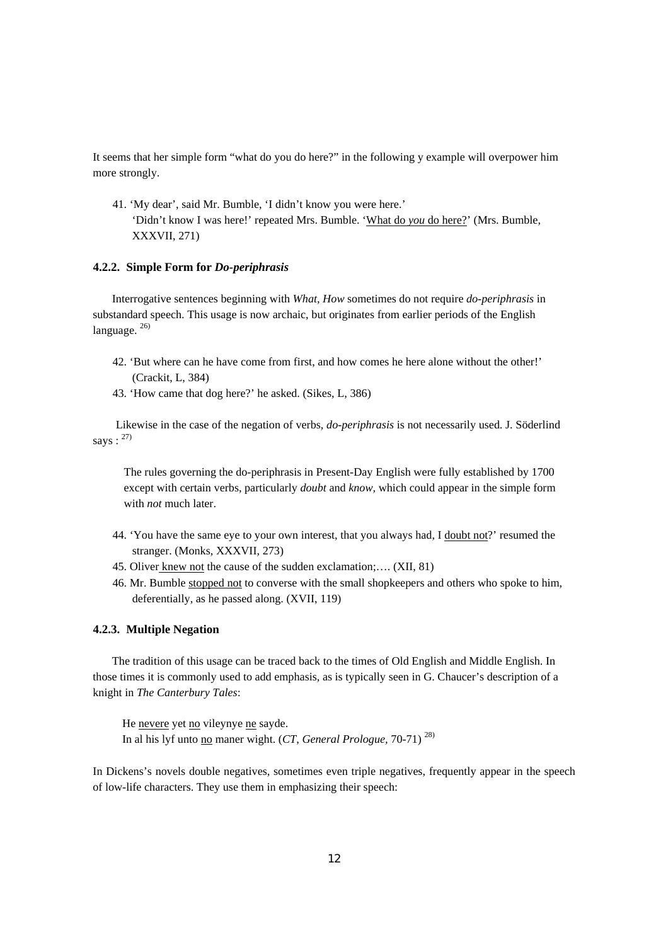It seems that her simple form "what do you do here?" in the following y example will overpower him more strongly.

41. 'My dear', said Mr. Bumble, 'I didn't know you were here.' 'Didn't know I was here!' repeated Mrs. Bumble. 'What do *you* do here?' (Mrs. Bumble, XXXVII, 271)

### **4.2.2. Simple Form for** *Do-periphrasis*

Interrogative sentences beginning with *What, How* sometimes do not require *do-periphrasis* in substandard speech. This usage is now archaic, but originates from earlier periods of the English language.  $^{26)}$ 

- 42. 'But where can he have come from first, and how comes he here alone without the other!' (Crackit, L, 384)
- 43. 'How came that dog here?' he asked. (Sikes, L, 386)

 Likewise in the case of the negation of verbs, *do-periphrasis* is not necessarily used. J. Söderlind says:  $27$ 

The rules governing the do-periphrasis in Present-Day English were fully established by 1700 except with certain verbs, particularly *doubt* and *know,* which could appear in the simple form with *not* much later.

- 44. 'You have the same eye to your own interest, that you always had, I doubt not?' resumed the stranger. (Monks, XXXVII, 273)
- 45. Oliver knew not the cause of the sudden exclamation;…. (XII, 81)
- 46. Mr. Bumble stopped not to converse with the small shopkeepers and others who spoke to him, deferentially, as he passed along. (XVII, 119)

#### **4.2.3. Multiple Negation**

The tradition of this usage can be traced back to the times of Old English and Middle English. In those times it is commonly used to add emphasis, as is typically seen in G. Chaucer's description of a knight in *The Canterbury Tales*:

He nevere yet no vileynye ne sayde. In al his lyf unto no maner wight. (*CT*, *General Prologue,* 70-71) 28)

In Dickens's novels double negatives, sometimes even triple negatives, frequently appear in the speech of low-life characters. They use them in emphasizing their speech: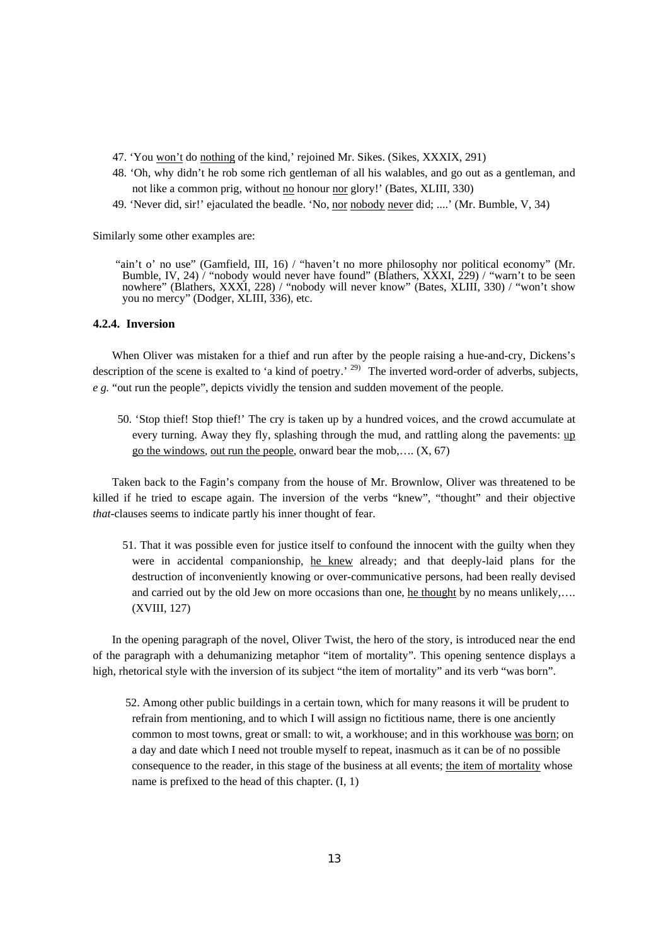- 47. 'You won't do nothing of the kind,' rejoined Mr. Sikes. (Sikes, XXXIX, 291)
- 48. 'Oh, why didn't he rob some rich gentleman of all his walables, and go out as a gentleman, and not like a common prig, without no honour nor glory!' (Bates, XLIII, 330)
- 49. 'Never did, sir!' ejaculated the beadle. 'No, nor nobody never did; ....' (Mr. Bumble, V, 34)

Similarly some other examples are:

"ain't o' no use" (Gamfield, III, 16) / "haven't no more philosophy nor political economy" (Mr. Bumble, IV, 24) / "nobody would never have found" (Blathers, XXXI, 229) / "warn't to be seen nowhere" (Blathers, XXXI, 228) / "nobody will never know" (Bates, XLIII, 330) / "won't show you no mercy" (Dodger, XLIII, 336), etc.

#### **4.2.4. Inversion**

When Oliver was mistaken for a thief and run after by the people raising a hue-and-cry, Dickens's description of the scene is exalted to 'a kind of poetry.' <sup>29)</sup> The inverted word-order of adverbs, subjects, *e g.* "out run the people", depicts vividly the tension and sudden movement of the people.

50. 'Stop thief! Stop thief!' The cry is taken up by a hundred voices, and the crowd accumulate at every turning. Away they fly, splashing through the mud, and rattling along the pavements: up go the windows, out run the people, onward bear the mob,....  $(X, 67)$ 

Taken back to the Fagin's company from the house of Mr. Brownlow, Oliver was threatened to be killed if he tried to escape again. The inversion of the verbs "knew", "thought" and their objective *that*-clauses seems to indicate partly his inner thought of fear.

51. That it was possible even for justice itself to confound the innocent with the guilty when they were in accidental companionship, he knew already; and that deeply-laid plans for the destruction of inconveniently knowing or over-communicative persons, had been really devised and carried out by the old Jew on more occasions than one, he thought by no means unlikely,.... (XVIII, 127)

In the opening paragraph of the novel, Oliver Twist, the hero of the story, is introduced near the end of the paragraph with a dehumanizing metaphor "item of mortality". This opening sentence displays a high, rhetorical style with the inversion of its subject "the item of mortality" and its verb "was born".

52. Among other public buildings in a certain town, which for many reasons it will be prudent to refrain from mentioning, and to which I will assign no fictitious name, there is one anciently common to most towns, great or small: to wit, a workhouse; and in this workhouse was born; on a day and date which I need not trouble myself to repeat, inasmuch as it can be of no possible consequence to the reader, in this stage of the business at all events; the item of mortality whose name is prefixed to the head of this chapter. (I, 1)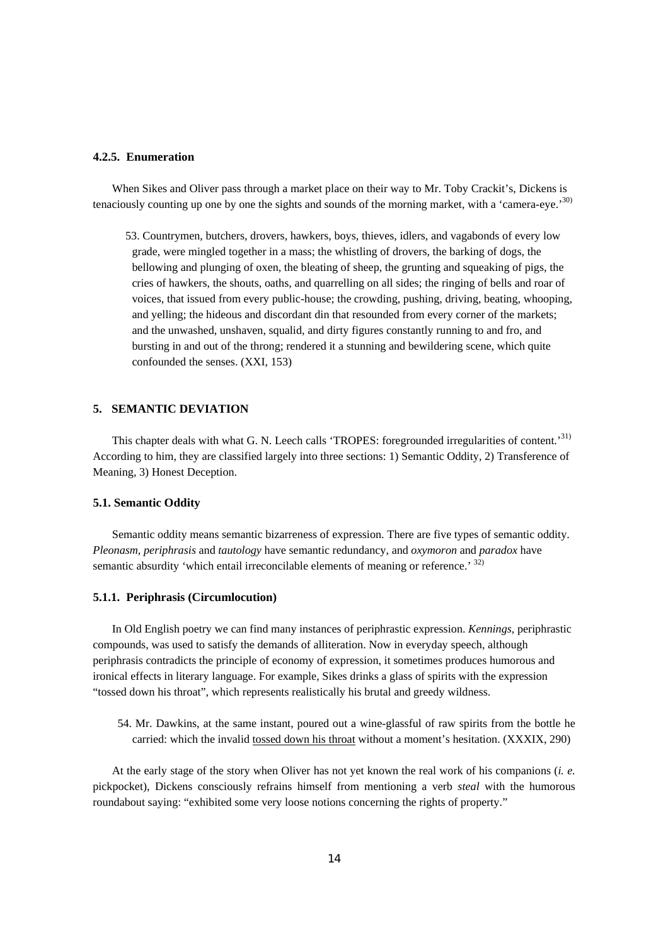# **4.2.5. Enumeration**

When Sikes and Oliver pass through a market place on their way to Mr. Toby Crackit's, Dickens is tenaciously counting up one by one the sights and sounds of the morning market, with a 'camera-eye.'30)

53. Countrymen, butchers, drovers, hawkers, boys, thieves, idlers, and vagabonds of every low grade, were mingled together in a mass; the whistling of drovers, the barking of dogs, the bellowing and plunging of oxen, the bleating of sheep, the grunting and squeaking of pigs, the cries of hawkers, the shouts, oaths, and quarrelling on all sides; the ringing of bells and roar of voices, that issued from every public-house; the crowding, pushing, driving, beating, whooping, and yelling; the hideous and discordant din that resounded from every corner of the markets; and the unwashed, unshaven, squalid, and dirty figures constantly running to and fro, and bursting in and out of the throng; rendered it a stunning and bewildering scene, which quite confounded the senses. (XXI, 153)

## **5. SEMANTIC DEVIATION**

This chapter deals with what G. N. Leech calls 'TROPES: foregrounded irregularities of content.<sup>31)</sup> According to him, they are classified largely into three sections: 1) Semantic Oddity, 2) Transference of Meaning, 3) Honest Deception.

#### **5.1. Semantic Oddity**

Semantic oddity means semantic bizarreness of expression. There are five types of semantic oddity. *Pleonasm, periphrasis* and *tautology* have semantic redundancy, and *oxymoron* and *paradox* have semantic absurdity 'which entail irreconcilable elements of meaning or reference.' 32)

#### **5.1.1. Periphrasis (Circumlocution)**

In Old English poetry we can find many instances of periphrastic expression. *Kennings,* periphrastic compounds, was used to satisfy the demands of alliteration. Now in everyday speech, although periphrasis contradicts the principle of economy of expression, it sometimes produces humorous and ironical effects in literary language. For example, Sikes drinks a glass of spirits with the expression "tossed down his throat", which represents realistically his brutal and greedy wildness.

54. Mr. Dawkins, at the same instant, poured out a wine-glassful of raw spirits from the bottle he carried: which the invalid tossed down his throat without a moment's hesitation. (XXXIX, 290)

At the early stage of the story when Oliver has not yet known the real work of his companions (*i. e.* pickpocket), Dickens consciously refrains himself from mentioning a verb *steal* with the humorous roundabout saying: "exhibited some very loose notions concerning the rights of property."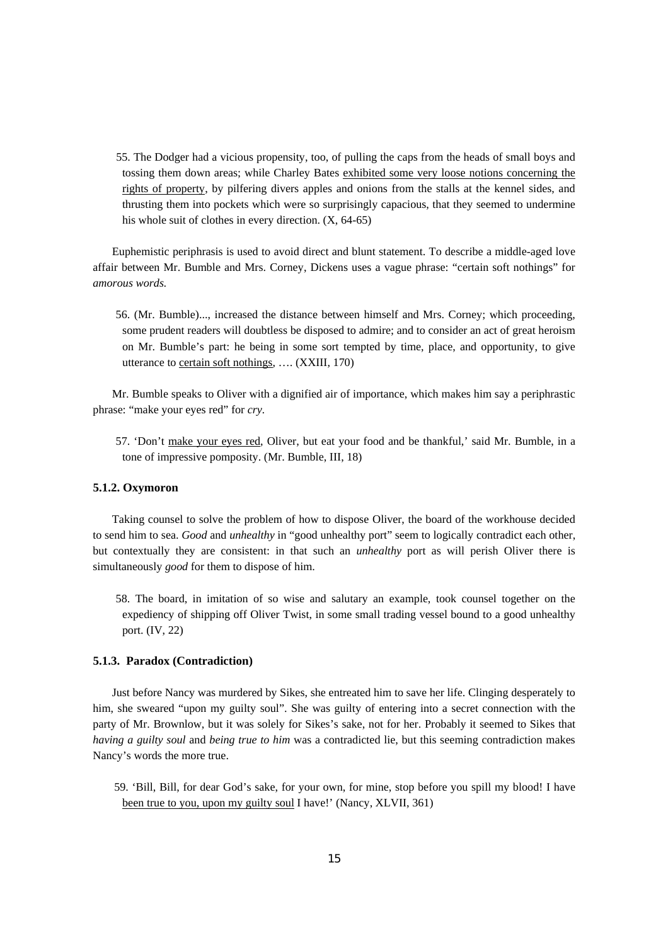55. The Dodger had a vicious propensity, too, of pulling the caps from the heads of small boys and tossing them down areas; while Charley Bates exhibited some very loose notions concerning the rights of property, by pilfering divers apples and onions from the stalls at the kennel sides, and thrusting them into pockets which were so surprisingly capacious, that they seemed to undermine his whole suit of clothes in every direction. (X, 64-65)

Euphemistic periphrasis is used to avoid direct and blunt statement. To describe a middle-aged love affair between Mr. Bumble and Mrs. Corney, Dickens uses a vague phrase: "certain soft nothings" for *amorous words.* 

56. (Mr. Bumble)..., increased the distance between himself and Mrs. Corney; which proceeding, some prudent readers will doubtless be disposed to admire; and to consider an act of great heroism on Mr. Bumble's part: he being in some sort tempted by time, place, and opportunity, to give utterance to certain soft nothings, …. (XXIII, 170)

Mr. Bumble speaks to Oliver with a dignified air of importance, which makes him say a periphrastic phrase: "make your eyes red" for *cry.* 

57. 'Don't make your eyes red, Oliver, but eat your food and be thankful,' said Mr. Bumble, in a tone of impressive pomposity. (Mr. Bumble, III, 18)

### **5.1.2. Oxymoron**

Taking counsel to solve the problem of how to dispose Oliver, the board of the workhouse decided to send him to sea. *Good* and *unhealthy* in "good unhealthy port" seem to logically contradict each other, but contextually they are consistent: in that such an *unhealthy* port as will perish Oliver there is simultaneously *good* for them to dispose of him.

58. The board, in imitation of so wise and salutary an example, took counsel together on the expediency of shipping off Oliver Twist, in some small trading vessel bound to a good unhealthy port. (IV, 22)

#### **5.1.3. Paradox (Contradiction)**

Just before Nancy was murdered by Sikes, she entreated him to save her life. Clinging desperately to him, she sweared "upon my guilty soul". She was guilty of entering into a secret connection with the party of Mr. Brownlow, but it was solely for Sikes's sake, not for her. Probably it seemed to Sikes that *having a guilty soul* and *being true to him* was a contradicted lie, but this seeming contradiction makes Nancy's words the more true.

59. 'Bill, Bill, for dear God's sake, for your own, for mine, stop before you spill my blood! I have been true to you, upon my guilty soul I have!' (Nancy, XLVII, 361)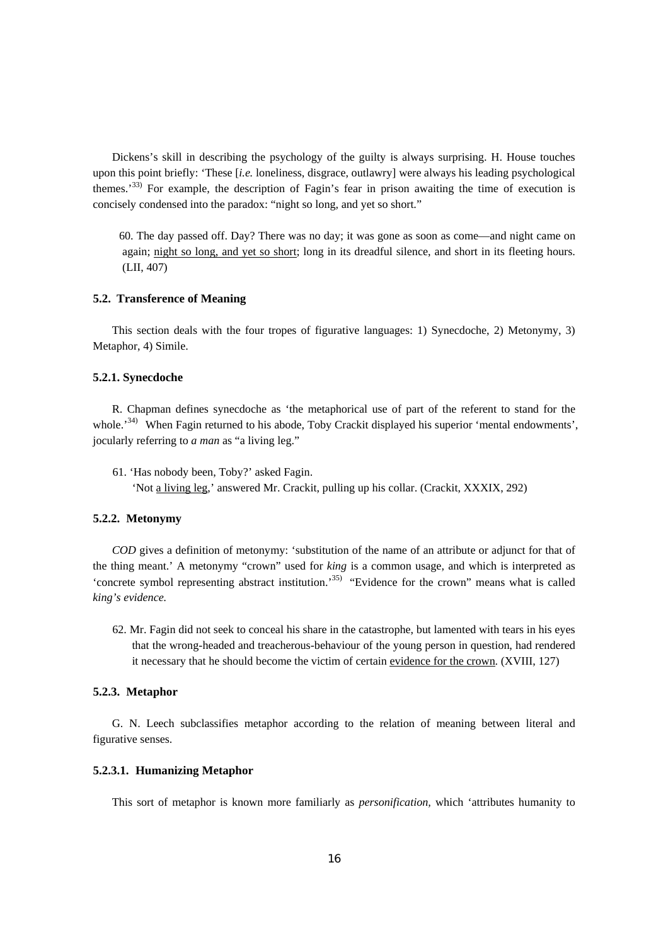Dickens's skill in describing the psychology of the guilty is always surprising. H. House touches upon this point briefly: 'These [*i.e.* loneliness, disgrace, outlawry] were always his leading psychological themes.<sup>33)</sup> For example, the description of Fagin's fear in prison awaiting the time of execution is concisely condensed into the paradox: "night so long, and yet so short."

60. The day passed off. Day? There was no day; it was gone as soon as come—and night came on again; night so long, and yet so short; long in its dreadful silence, and short in its fleeting hours. (LII, 407)

#### **5.2. Transference of Meaning**

This section deals with the four tropes of figurative languages: 1) Synecdoche, 2) Metonymy, 3) Metaphor, 4) Simile.

#### **5.2.1. Synecdoche**

R. Chapman defines synecdoche as 'the metaphorical use of part of the referent to stand for the whole.<sup>34)</sup> When Fagin returned to his abode, Toby Crackit displayed his superior 'mental endowments', jocularly referring to *a man* as "a living leg."

61. 'Has nobody been, Toby?' asked Fagin. 'Not a living leg,' answered Mr. Crackit, pulling up his collar. (Crackit, XXXIX, 292)

#### **5.2.2. Metonymy**

*COD* gives a definition of metonymy: 'substitution of the name of an attribute or adjunct for that of the thing meant.' A metonymy "crown" used for *king* is a common usage, and which is interpreted as 'concrete symbol representing abstract institution.'35) "Evidence for the crown" means what is called *king's evidence.* 

62. Mr. Fagin did not seek to conceal his share in the catastrophe, but lamented with tears in his eyes that the wrong-headed and treacherous-behaviour of the young person in question, had rendered it necessary that he should become the victim of certain evidence for the crown. (XVIII, 127)

## **5.2.3. Metaphor**

G. N. Leech subclassifies metaphor according to the relation of meaning between literal and figurative senses.

### **5.2.3.1. Humanizing Metaphor**

This sort of metaphor is known more familiarly as *personification,* which 'attributes humanity to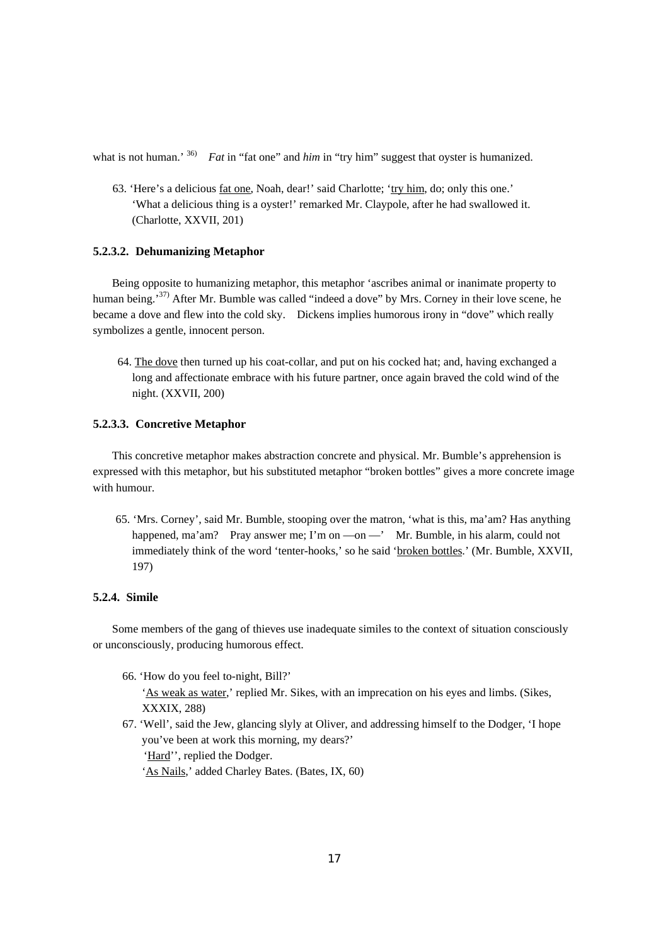what is not human.' <sup>36)</sup> *Fat* in "fat one" and *him* in "try him" suggest that ovster is humanized.

63. 'Here's a delicious fat one, Noah, dear!' said Charlotte; 'try him, do; only this one.' 'What a delicious thing is a oyster!' remarked Mr. Claypole, after he had swallowed it. (Charlotte, XXVII, 201)

## **5.2.3.2. Dehumanizing Metaphor**

Being opposite to humanizing metaphor, this metaphor 'ascribes animal or inanimate property to human being.<sup>37)</sup> After Mr. Bumble was called "indeed a dove" by Mrs. Corney in their love scene, he became a dove and flew into the cold sky. Dickens implies humorous irony in "dove" which really symbolizes a gentle, innocent person.

64. The dove then turned up his coat-collar, and put on his cocked hat; and, having exchanged a long and affectionate embrace with his future partner, once again braved the cold wind of the night. (XXVII, 200)

# **5.2.3.3. Concretive Metaphor**

This concretive metaphor makes abstraction concrete and physical. Mr. Bumble's apprehension is expressed with this metaphor, but his substituted metaphor "broken bottles" gives a more concrete image with humour.

65. 'Mrs. Corney', said Mr. Bumble, stooping over the matron, 'what is this, ma'am? Has anything happened, ma'am? Pray answer me; I'm on —on —' Mr. Bumble, in his alarm, could not immediately think of the word 'tenter-hooks,' so he said 'broken bottles.' (Mr. Bumble, XXVII, 197)

# **5.2.4. Simile**

Some members of the gang of thieves use inadequate similes to the context of situation consciously or unconsciously, producing humorous effect.

- 66. 'How do you feel to-night, Bill?' 'As weak as water,' replied Mr. Sikes, with an imprecation on his eyes and limbs. (Sikes, XXXIX, 288)
- 67. 'Well', said the Jew, glancing slyly at Oliver, and addressing himself to the Dodger, 'I hope you've been at work this morning, my dears?' 'Hard'', replied the Dodger. 'As Nails,' added Charley Bates. (Bates, IX, 60)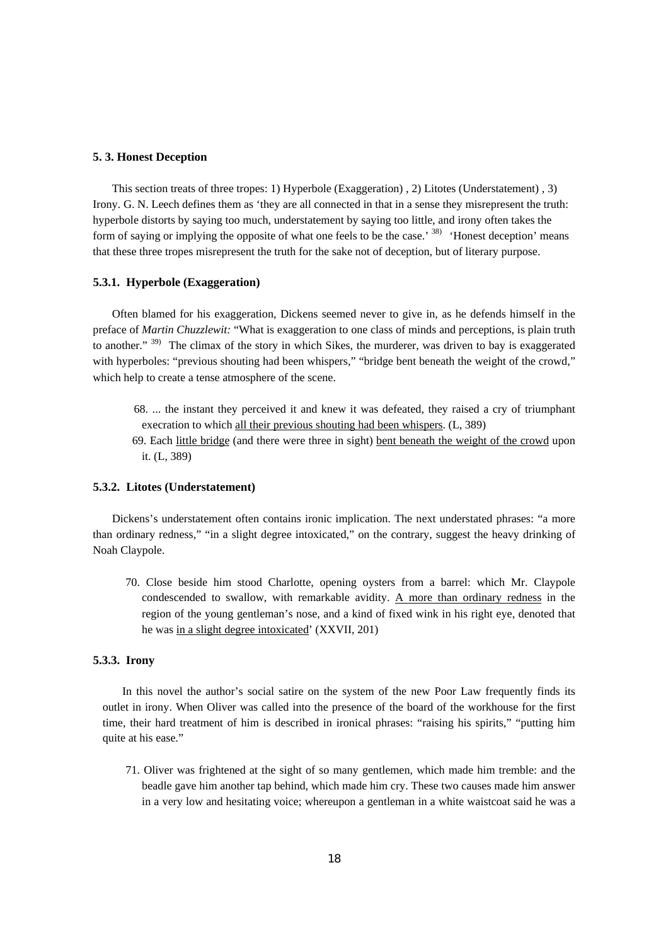## **5. 3. Honest Deception**

This section treats of three tropes: 1) Hyperbole (Exaggeration) , 2) Litotes (Understatement) , 3) Irony. G. N. Leech defines them as 'they are all connected in that in a sense they misrepresent the truth: hyperbole distorts by saying too much, understatement by saying too little, and irony often takes the form of saying or implying the opposite of what one feels to be the case.<sup>38)</sup> 'Honest deception' means that these three tropes misrepresent the truth for the sake not of deception, but of literary purpose.

#### **5.3.1. Hyperbole (Exaggeration)**

Often blamed for his exaggeration, Dickens seemed never to give in, as he defends himself in the preface of *Martin Chuzzlewit:* "What is exaggeration to one class of minds and perceptions, is plain truth to another." <sup>39)</sup> The climax of the story in which Sikes, the murderer, was driven to bay is exaggerated with hyperboles: "previous shouting had been whispers," "bridge bent beneath the weight of the crowd," which help to create a tense atmosphere of the scene.

- 68. ... the instant they perceived it and knew it was defeated, they raised a cry of triumphant execration to which all their previous shouting had been whispers. (L, 389)
- 69. Each little bridge (and there were three in sight) bent beneath the weight of the crowd upon it. (L, 389)

#### **5.3.2. Litotes (Understatement)**

Dickens's understatement often contains ironic implication. The next understated phrases: "a more than ordinary redness," "in a slight degree intoxicated," on the contrary, suggest the heavy drinking of Noah Claypole.

70. Close beside him stood Charlotte, opening oysters from a barrel: which Mr. Claypole condescended to swallow, with remarkable avidity. A more than ordinary redness in the region of the young gentleman's nose, and a kind of fixed wink in his right eye, denoted that he was in a slight degree intoxicated' (XXVII, 201)

# **5.3.3. Irony**

In this novel the author's social satire on the system of the new Poor Law frequently finds its outlet in irony. When Oliver was called into the presence of the board of the workhouse for the first time, their hard treatment of him is described in ironical phrases: "raising his spirits," "putting him quite at his ease."

71. Oliver was frightened at the sight of so many gentlemen, which made him tremble: and the beadle gave him another tap behind, which made him cry. These two causes made him answer in a very low and hesitating voice; whereupon a gentleman in a white waistcoat said he was a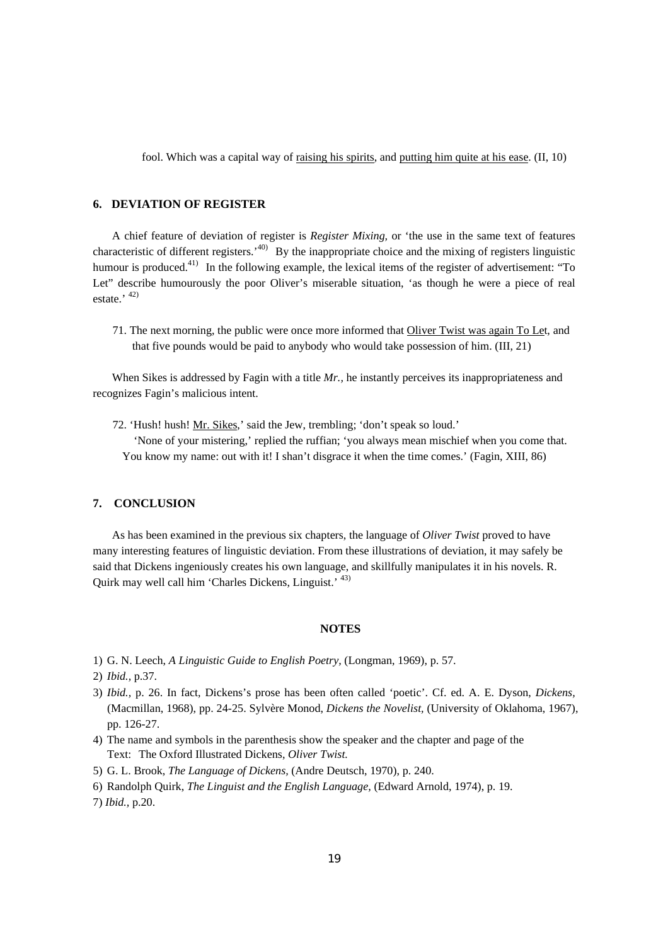fool. Which was a capital way of raising his spirits, and putting him quite at his ease. (II, 10)

# **6.****DEVIATION OF REGISTER**

A chief feature of deviation of register is *Register Mixing,* or 'the use in the same text of features characteristic of different registers.<sup>40)</sup> By the inappropriate choice and the mixing of registers linguistic humour is produced.<sup>41)</sup> In the following example, the lexical items of the register of advertisement: "To Let" describe humourously the poor Oliver's miserable situation, 'as though he were a piece of real estate.'  $42)$ 

71. The next morning, the public were once more informed that Oliver Twist was again To Let, and that five pounds would be paid to anybody who would take possession of him. (III, 21)

When Sikes is addressed by Fagin with a title *Mr.*, he instantly perceives its inappropriateness and recognizes Fagin's malicious intent.

72. 'Hush! hush! Mr. Sikes,' said the Jew, trembling; 'don't speak so loud.'

'None of your mistering,' replied the ruffian; 'you always mean mischief when you come that. You know my name: out with it! I shan't disgrace it when the time comes.' (Fagin, XIII, 86)

### **7. CONCLUSION**

As has been examined in the previous six chapters, the language of *Oliver Twist* proved to have many interesting features of linguistic deviation. From these illustrations of deviation, it may safely be said that Dickens ingeniously creates his own language, and skillfully manipulates it in his novels. R. Quirk may well call him 'Charles Dickens, Linguist.' 43)

# **NOTES**

- 1) G. N. Leech, *A Linguistic Guide to English Poetry,* (Longman, 1969), p. 57.
- 2) *Ibid.,* p.37.
- 3) *Ibid.,* p. 26. In fact, Dickens's prose has been often called 'poetic'. Cf. ed. A. E. Dyson, *Dickens,*  (Macmillan, 1968), pp. 24-25. Sylvère Monod, *Dickens the Novelist,* (University of Oklahoma, 1967), pp. 126-27.
- 4) The name and symbols in the parenthesis show the speaker and the chapter and page of the Text: The Oxford Illustrated Dickens, *Oliver Twist.*
- 5) G. L. Brook, *The Language of Dickens,* (Andre Deutsch, 1970), p. 240.
- 6) Randolph Quirk, *The Linguist and the English Language,* (Edward Arnold, 1974), p. 19.
- 7) *Ibid.,* p.20.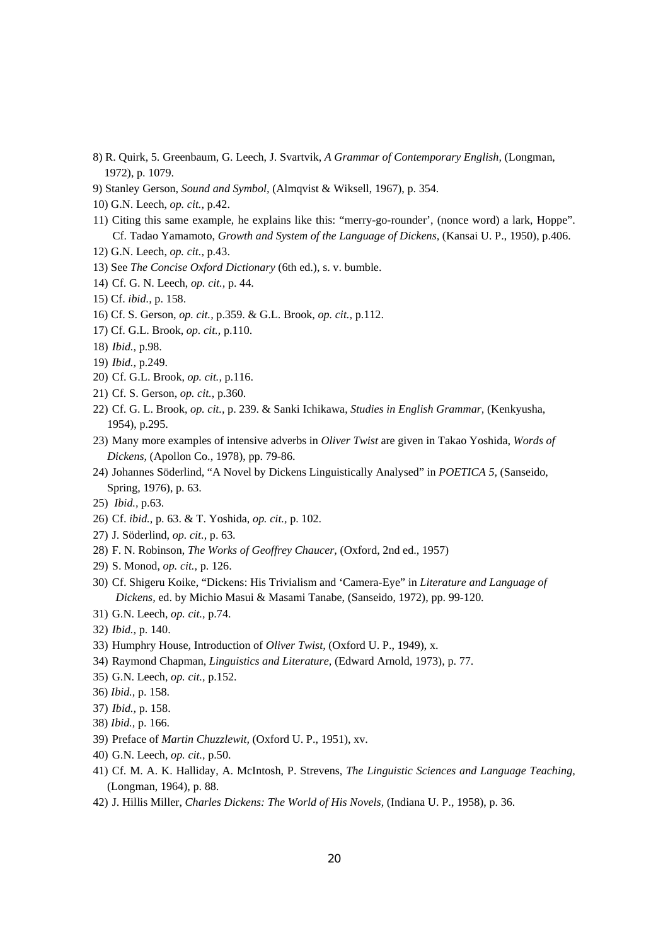- 8) R. Quirk, 5. Greenbaum, G. Leech, J. Svartvik, *A Grammar of Contemporary English,* (Longman, 1972), p. 1079.
- 9) Stanley Gerson, *Sound and Symbol,* (Almqvist & Wiksell, 1967), p. 354.
- 10) G.N. Leech, *op. cit.,* p.42.
- 11) Citing this same example, he explains like this: "merry-go-rounder', (nonce word) a lark, Hoppe". Cf. Tadao Yamamoto, *Growth and System of the Language of Dickens,* (Kansai U. P., 1950), p.406.
- 12) G.N. Leech, *op. cit.,* p.43.
- 13) See *The Concise Oxford Dictionary* (6th ed.), s. v. bumble.
- 14) Cf. G. N. Leech, *op. cit.,* p. 44.
- 15) Cf. *ibid.,* p. 158.
- 16) Cf. S. Gerson, *op. cit.,* p.359. & G.L. Brook, *op. cit.,* p.112.
- 17) Cf. G.L. Brook, *op. cit.,* p.110.
- 18) *Ibid.,* p.98.
- 19) *Ibid.,* p.249.
- 20) Cf. G.L. Brook, *op. cit.,* p.116.
- 21) Cf. S. Gerson, *op. cit.,* p.360.
- 22) Cf. G. L. Brook, *op. cit.,* p. 239. & Sanki Ichikawa, *Studies in English Grammar,* (Kenkyusha, 1954), p.295.
- 23) Many more examples of intensive adverbs in *Oliver Twist* are given in Takao Yoshida, *Words of Dickens,* (Apollon Co., 1978), pp. 79-86.
- 24) Johannes Söderlind, "A Novel by Dickens Linguistically Analysed" in *POETICA 5,* (Sanseido, Spring, 1976), p. 63.
- 25) *Ibid.,* p.63.
- 26) Cf. *ibid.,* p. 63. & T. Yoshida, *op. cit.,* p. 102.
- 27) J. Söderlind, *op. cit.,* p. 63.
- 28) F. N. Robinson, *The Works of Geoffrey Chaucer,* (Oxford, 2nd ed., 1957)
- 29) S. Monod, *op. cit.,* p. 126.
- 30) Cf. Shigeru Koike, "Dickens: His Trivialism and 'Camera-Eye" in *Literature and Language of Dickens,* ed. by Michio Masui & Masami Tanabe, (Sanseido, 1972), pp. 99-120.
- 31) G.N. Leech, *op. cit.,* p.74.
- 32) *Ibid.,* p. 140.
- 33) Humphry House, Introduction of *Oliver Twist,* (Oxford U. P., 1949), x.
- 34) Raymond Chapman, *Linguistics and Literature,* (Edward Arnold, 1973), p. 77.
- 35) G.N. Leech, *op. cit.,* p.152.
- 36) *Ibid.,* p. 158.
- 37) *Ibid.,* p. 158.
- 38) *Ibid.,* p. 166.
- 39) Preface of *Martin Chuzzlewit,* (Oxford U. P., 1951), xv.
- 40) G.N. Leech, *op. cit.,* p.50.
- 41) Cf. M. A. K. Halliday, A. McIntosh, P. Strevens, *The Linguistic Sciences and Language Teaching,*  (Longman, 1964), p. 88.
- 42) J. Hillis Miller, *Charles Dickens: The World of His Novels,* (Indiana U. P., 1958), p. 36.